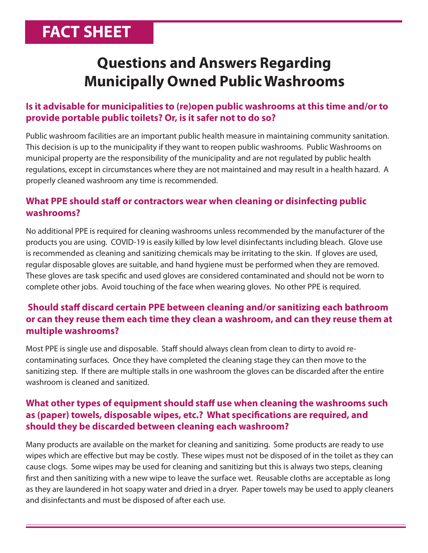# **FACT SHEET**

# **Questions and Answers Regarding Municipally Owned Public Washrooms**

# **Is it advisable for municipalities to (re)open public washrooms at this time and/or to provide portable public toilets? Or, is it safer not to do so?**

Public washroom facilities are an important public health measure in maintaining community sanitation. This decision is up to the municipality if they want to reopen public washrooms. Public Washrooms on municipal property are the responsibility of the municipality and are not regulated by public health regulations, except in circumstances where they are not maintained and may result in a health hazard. A properly cleaned washroom any time is recommended.

## **What PPE should staff or contractors wear when cleaning or disinfecting public washrooms?**

No additional PPE is required for cleaning washrooms unless recommended by the manufacturer of the products you are using. COVID-19 is easily killed by low level disinfectants including bleach. Glove use is recommended as cleaning and sanitizing chemicals may be irritating to the skin. If gloves are used, regular disposable gloves are suitable, and hand hygiene must be performed when they are removed. These gloves are task specific and used gloves are considered contaminated and should not be worn to complete other jobs. Avoid touching of the face when wearing gloves. No other PPE is required.

# **Should staff discard certain PPE between cleaning and/or sanitizing each bathroom or can they reuse them each time they clean a washroom, and can they reuse them at multiple washrooms?**

Most PPE is single use and disposable. Staff should always clean from clean to dirty to avoid recontaminating surfaces. Once they have completed the cleaning stage they can then move to the sanitizing step. If there are multiple stalls in one washroom the gloves can be discarded after the entire washroom is cleaned and sanitized.

## **What other types of equipment should staff use when cleaning the washrooms such as (paper) towels, disposable wipes, etc.? What specifications are required, and should they be discarded between cleaning each washroom?**

Many products are available on the market for cleaning and sanitizing. Some products are ready to use wipes which are effective but may be costly. These wipes must not be disposed of in the toilet as they can cause clogs. Some wipes may be used for cleaning and sanitizing but this is always two steps, cleaning first and then sanitizing with a new wipe to leave the surface wet. Reusable cloths are acceptable as long as they are laundered in hot soapy water and dried in a dryer. Paper towels may be used to apply cleaners and disinfectants and must be disposed of after each use.